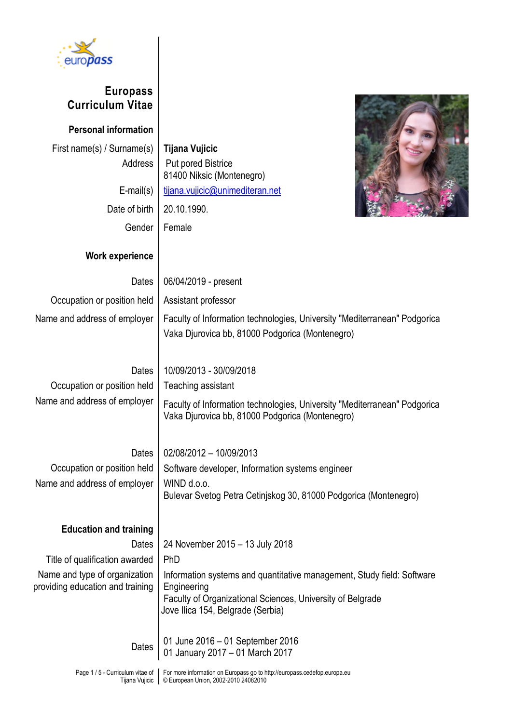

## **Europass Curriculum Vitae**

**Personal information** First name(s) / Surname(s) **Tijana Vujicic**

> Address | Put pored Bistrice Date of birth  $\vert$  20.10.1990. Gender | Female

**Work experience**

81400 Niksic (Montenegro) E-mail(s) [tijana.vujicic@unimediteran.net](mailto:tijana.vujicic@unimediteran.net)



## Dates | 06/04/2019 - present Occupation or position held | Assistant professor Name and address of employer | Faculty of Information technologies, University "Mediterranean" Podgorica Vaka Djurovica bb, 81000 Podgorica (Montenegro) Dates 10/09/2013 - 30/09/2018 Occupation or position held | Teaching assistant Name and address of employer Faculty of Information technologies, University "Mediterranean" Podgorica Vaka Djurovica bb, 81000 Podgorica (Montenegro) Dates | 02/08/2012 – 10/09/2013 Occupation or position held | Software developer, Information systems engineer Name and address of employer  $\vert$  WIND d.o.o. Bulevar Svetog Petra Cetinjskog 30, 81000 Podgorica (Montenegro) **Education and training** Dates | 24 November 2015 – 13 July 2018 Title of qualification awarded  $\vert$  PhD Name and type of organization providing education and training Information systems and quantitative management, Study field: Software Engineering Faculty of Organizational Sciences, University of Belgrade Jove Ilica 154, Belgrade (Serbia) Dates 01 June 2016 – 01 September 2016 01 January 2017 – 01 March 2017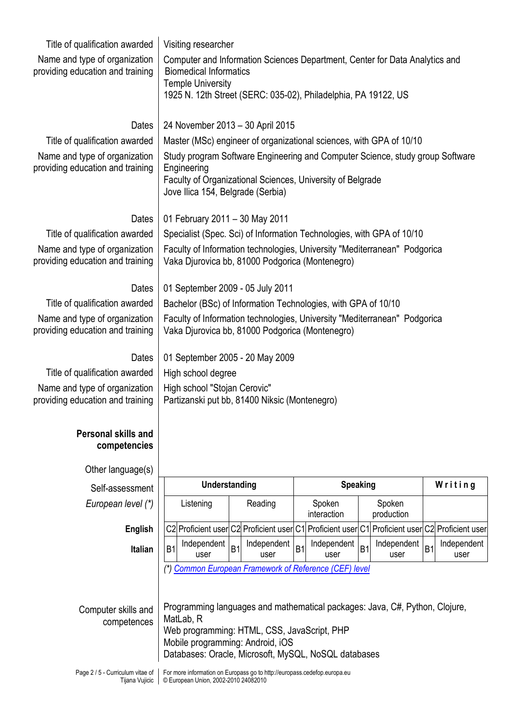| Title of qualification awarded                     | Visiting researcher                                                                                              |                |             |                 |                       |                |                      |                |                    |
|----------------------------------------------------|------------------------------------------------------------------------------------------------------------------|----------------|-------------|-----------------|-----------------------|----------------|----------------------|----------------|--------------------|
| Name and type of organization                      | Computer and Information Sciences Department, Center for Data Analytics and                                      |                |             |                 |                       |                |                      |                |                    |
| providing education and training                   | <b>Biomedical Informatics</b>                                                                                    |                |             |                 |                       |                |                      |                |                    |
|                                                    | <b>Temple University</b><br>1925 N. 12th Street (SERC: 035-02), Philadelphia, PA 19122, US                       |                |             |                 |                       |                |                      |                |                    |
|                                                    |                                                                                                                  |                |             |                 |                       |                |                      |                |                    |
| Dates                                              | 24 November 2013 - 30 April 2015                                                                                 |                |             |                 |                       |                |                      |                |                    |
| Title of qualification awarded                     | Master (MSc) engineer of organizational sciences, with GPA of 10/10                                              |                |             |                 |                       |                |                      |                |                    |
| Name and type of organization                      | Study program Software Engineering and Computer Science, study group Software                                    |                |             |                 |                       |                |                      |                |                    |
| providing education and training                   | Engineering<br>Faculty of Organizational Sciences, University of Belgrade                                        |                |             |                 |                       |                |                      |                |                    |
|                                                    | Jove Ilica 154, Belgrade (Serbia)                                                                                |                |             |                 |                       |                |                      |                |                    |
| Dates                                              | 01 February 2011 - 30 May 2011                                                                                   |                |             |                 |                       |                |                      |                |                    |
| Title of qualification awarded                     | Specialist (Spec. Sci) of Information Technologies, with GPA of 10/10                                            |                |             |                 |                       |                |                      |                |                    |
| Name and type of organization                      | Faculty of Information technologies, University "Mediterranean" Podgorica                                        |                |             |                 |                       |                |                      |                |                    |
| providing education and training                   | Vaka Djurovica bb, 81000 Podgorica (Montenegro)                                                                  |                |             |                 |                       |                |                      |                |                    |
| Dates                                              | 01 September 2009 - 05 July 2011                                                                                 |                |             |                 |                       |                |                      |                |                    |
| Title of qualification awarded                     | Bachelor (BSc) of Information Technologies, with GPA of 10/10                                                    |                |             |                 |                       |                |                      |                |                    |
| Name and type of organization                      | Faculty of Information technologies, University "Mediterranean" Podgorica                                        |                |             |                 |                       |                |                      |                |                    |
| providing education and training                   | Vaka Djurovica bb, 81000 Podgorica (Montenegro)                                                                  |                |             |                 |                       |                |                      |                |                    |
| Dates                                              | 01 September 2005 - 20 May 2009                                                                                  |                |             |                 |                       |                |                      |                |                    |
| Title of qualification awarded                     | High school degree                                                                                               |                |             |                 |                       |                |                      |                |                    |
| Name and type of organization                      | High school "Stojan Cerovic"                                                                                     |                |             |                 |                       |                |                      |                |                    |
| providing education and training                   | Partizanski put bb, 81400 Niksic (Montenegro)                                                                    |                |             |                 |                       |                |                      |                |                    |
| <b>Personal skills and</b>                         |                                                                                                                  |                |             |                 |                       |                |                      |                |                    |
| competencies                                       |                                                                                                                  |                |             |                 |                       |                |                      |                |                    |
|                                                    |                                                                                                                  |                |             |                 |                       |                |                      |                |                    |
| Other language(s)<br>Self-assessment               | Understanding                                                                                                    |                |             | <b>Speaking</b> |                       |                |                      | Writing        |                    |
|                                                    |                                                                                                                  |                |             |                 |                       |                |                      |                |                    |
|                                                    |                                                                                                                  |                |             |                 |                       |                |                      |                |                    |
| European level (*)                                 | Listening                                                                                                        |                | Reading     |                 | Spoken<br>interaction |                | Spoken<br>production |                |                    |
| English                                            | C2 Proficient user C2 Proficient user C1 Proficient user                                                         |                |             |                 |                       |                | C1 Proficient user   |                | C2 Proficient user |
| <b>Italian</b>                                     | Independent<br>B <sub>1</sub>                                                                                    | B <sub>1</sub> | Independent | <b>B1</b>       | Independent           | B <sub>1</sub> | Independent          | B <sub>1</sub> | Independent        |
|                                                    | user<br>(*) Common European Framework of Reference (CEF) level                                                   |                | user        |                 | user                  |                | user                 |                | user               |
|                                                    |                                                                                                                  |                |             |                 |                       |                |                      |                |                    |
|                                                    |                                                                                                                  |                |             |                 |                       |                |                      |                |                    |
| Computer skills and                                | Programming languages and mathematical packages: Java, C#, Python, Clojure,<br>MatLab, R                         |                |             |                 |                       |                |                      |                |                    |
| competences                                        | Web programming: HTML, CSS, JavaScript, PHP                                                                      |                |             |                 |                       |                |                      |                |                    |
|                                                    | Mobile programming: Android, iOS<br>Databases: Oracle, Microsoft, MySQL, NoSQL databases                         |                |             |                 |                       |                |                      |                |                    |
| Page 2 / 5 - Curriculum vitae of<br>Tijana Vujicic | For more information on Europass go to http://europass.cedefop.europa.eu<br>© European Union, 2002-2010 24082010 |                |             |                 |                       |                |                      |                |                    |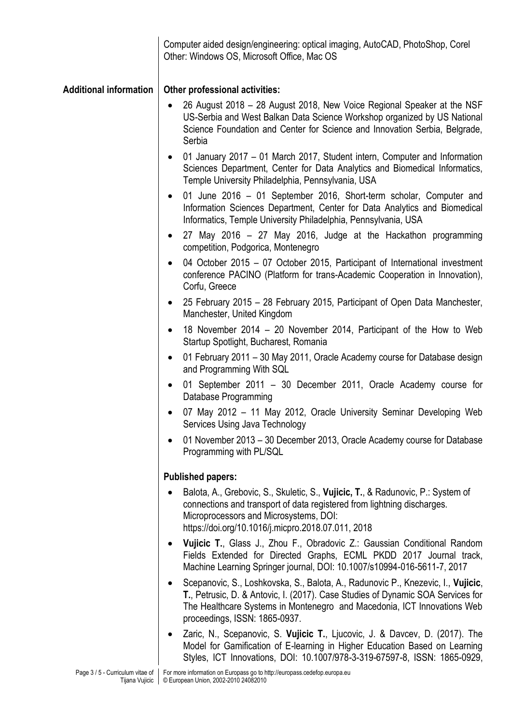|                               | Computer aided design/engineering: optical imaging, AutoCAD, PhotoShop, Corel<br>Other: Windows OS, Microsoft Office, Mac OS                                                                                                                                                    |
|-------------------------------|---------------------------------------------------------------------------------------------------------------------------------------------------------------------------------------------------------------------------------------------------------------------------------|
| <b>Additional information</b> | Other professional activities:                                                                                                                                                                                                                                                  |
|                               | 26 August 2018 – 28 August 2018, New Voice Regional Speaker at the NSF<br>$\bullet$<br>US-Serbia and West Balkan Data Science Workshop organized by US National<br>Science Foundation and Center for Science and Innovation Serbia, Belgrade,<br>Serbia                         |
|                               | 01 January 2017 – 01 March 2017, Student intern, Computer and Information<br>$\bullet$<br>Sciences Department, Center for Data Analytics and Biomedical Informatics,<br>Temple University Philadelphia, Pennsylvania, USA                                                       |
|                               | 01 June 2016 – 01 September 2016, Short-term scholar, Computer and<br>$\bullet$<br>Information Sciences Department, Center for Data Analytics and Biomedical<br>Informatics, Temple University Philadelphia, Pennsylvania, USA                                                  |
|                               | 27 May 2016 – 27 May 2016, Judge at the Hackathon programming<br>$\bullet$<br>competition, Podgorica, Montenegro                                                                                                                                                                |
|                               | 04 October 2015 - 07 October 2015, Participant of International investment<br>$\bullet$<br>conference PACINO (Platform for trans-Academic Cooperation in Innovation),<br>Corfu, Greece                                                                                          |
|                               | • 25 February 2015 – 28 February 2015, Participant of Open Data Manchester,<br>Manchester, United Kingdom                                                                                                                                                                       |
|                               | 18 November 2014 – 20 November 2014, Participant of the How to Web<br>$\bullet$<br>Startup Spotlight, Bucharest, Romania                                                                                                                                                        |
|                               | 01 February 2011 - 30 May 2011, Oracle Academy course for Database design<br>$\bullet$<br>and Programming With SQL                                                                                                                                                              |
|                               | 01 September 2011 - 30 December 2011, Oracle Academy course for<br>$\bullet$<br>Database Programming                                                                                                                                                                            |
|                               | 07 May 2012 - 11 May 2012, Oracle University Seminar Developing Web<br>Services Using Java Technology                                                                                                                                                                           |
|                               | 01 November 2013 – 30 December 2013, Oracle Academy course for Database<br>Programming with PL/SQL                                                                                                                                                                              |
|                               | <b>Published papers:</b>                                                                                                                                                                                                                                                        |
|                               | Balota, A., Grebovic, S., Skuletic, S., Vujicic, T., & Radunovic, P.: System of<br>connections and transport of data registered from lightning discharges.<br>Microprocessors and Microsystems, DOI:<br>https://doi.org/10.1016/j.micpro.2018.07.011, 2018                      |
|                               | Vujicic T., Glass J., Zhou F., Obradovic Z.: Gaussian Conditional Random<br>$\bullet$<br>Fields Extended for Directed Graphs, ECML PKDD 2017 Journal track,<br>Machine Learning Springer journal, DOI: 10.1007/s10994-016-5611-7, 2017                                          |
|                               | Scepanovic, S., Loshkovska, S., Balota, A., Radunovic P., Knezevic, I., Vujicic,<br>T., Petrusic, D. & Antovic, I. (2017). Case Studies of Dynamic SOA Services for<br>The Healthcare Systems in Montenegro and Macedonia, ICT Innovations Web<br>proceedings, ISSN: 1865-0937. |
|                               | Zaric, N., Scepanovic, S. Vujicic T., Ljucovic, J. & Davcev, D. (2017). The<br>Model for Gamification of E-learning in Higher Education Based on Learning<br>Styles, ICT Innovations, DOI: 10.1007/978-3-319-67597-8, ISSN: 1865-0929,                                          |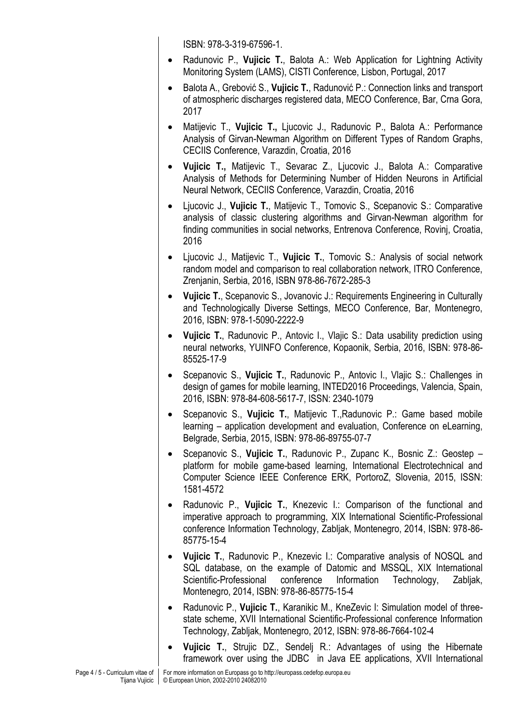ISBN: 978-3-319-67596-1.

- Radunovic P., **Vujicic T.**, Balota A.: Web Application for Lightning Activity Monitoring System (LAMS), CISTI Conference, Lisbon, Portugal, 2017
- Balota A., Grebović S., **Vujicic T.**, Radunović P.: Connection links and transport of atmospheric discharges registered data, MECO Conference, Bar, Crna Gora, 2017
- Matijevic T., **Vujicic T.,** Ljucovic J., Radunovic P., Balota A.: Performance Analysis of Girvan-Newman Algorithm on Different Types of Random Graphs, CECIIS Conference, Varazdin, Croatia, 2016
- **Vujicic T.,** Matijevic T., Sevarac Z., Ljucovic J., Balota A.: Comparative Analysis of Methods for Determining Number of Hidden Neurons in Artificial Neural Network, CECIIS Conference, Varazdin, Croatia, 2016
- Ljucovic J., **Vujicic T.**, Matijevic T., Tomovic S., Scepanovic S.: Comparative analysis of classic clustering algorithms and Girvan-Newman algorithm for finding communities in social networks, Entrenova Conference, Rovinj, Croatia, 2016
- Ljucovic J., Matijevic T., **Vujicic T.**, Tomovic S.: Analysis of social network random model and comparison to real collaboration network, ITRO Conference, Zrenjanin, Serbia, 2016, ISBN 978-86-7672-285-3
- **Vujicic T.**, Scepanovic S., Jovanovic J.: Requirements Engineering in Culturally and Technologically Diverse Settings, MECO Conference, Bar, Montenegro, 2016, ISBN: 978-1-5090-2222-9
- **Vujicic T.**, Radunovic P., Antovic I., Vlajic S.: Data usability prediction using neural networks, YUINFO Conference, Kopaonik, Serbia, 2016, ISBN: 978-86- 85525-17-9
- Scepanovic S., **Vujicic T.**, Radunovic P., Antovic I., Vlajic S.: Challenges in design of games for mobile learning, INTED2016 Proceedings, Valencia, Spain, 2016, ISBN: 978-84-608-5617-7, ISSN: 2340-1079
- Scepanovic S., **Vujicic T.**, Matijevic T.,Radunovic P.: Game based mobile learning – application development and evaluation, Conference on eLearning, Belgrade, Serbia, 2015, ISBN: 978-86-89755-07-7
- Scepanovic S., **Vujicic T.**, Radunovic P., Zupanc K., Bosnic Z.: Geostep platform for mobile game-based learning, International Electrotechnical and Computer Science IEEE Conference ERK, PortoroZ, Slovenia, 2015, ISSN: 1581-4572
- Radunovic P., **Vujicic T.**, Knezevic I.: Comparison of the functional and imperative approach to programming, XIX International Scientific-Professional conference Information Technology, Zabljak, Montenegro, 2014, ISBN: 978-86- 85775-15-4
- **Vujicic T.**, Radunovic P., Knezevic I.: Comparative analysis of NOSQL and SQL database, on the example of Datomic and MSSQL, XIX International Scientific-Professional conference Information Technology, Zabljak, Montenegro, 2014, ISBN: 978-86-85775-15-4
- Radunovic P., **Vujicic T.**, Karanikic M., KneZevic I: Simulation model of threestate scheme, XVII International Scientific-Professional conference Information Technology, Zabljak, Montenegro, 2012, ISBN: 978-86-7664-102-4
- **Vujicic T.**, Strujic DZ., Sendelj R.: Advantages of using the Hibernate framework over using the JDBC in Java EE applications, XVII International